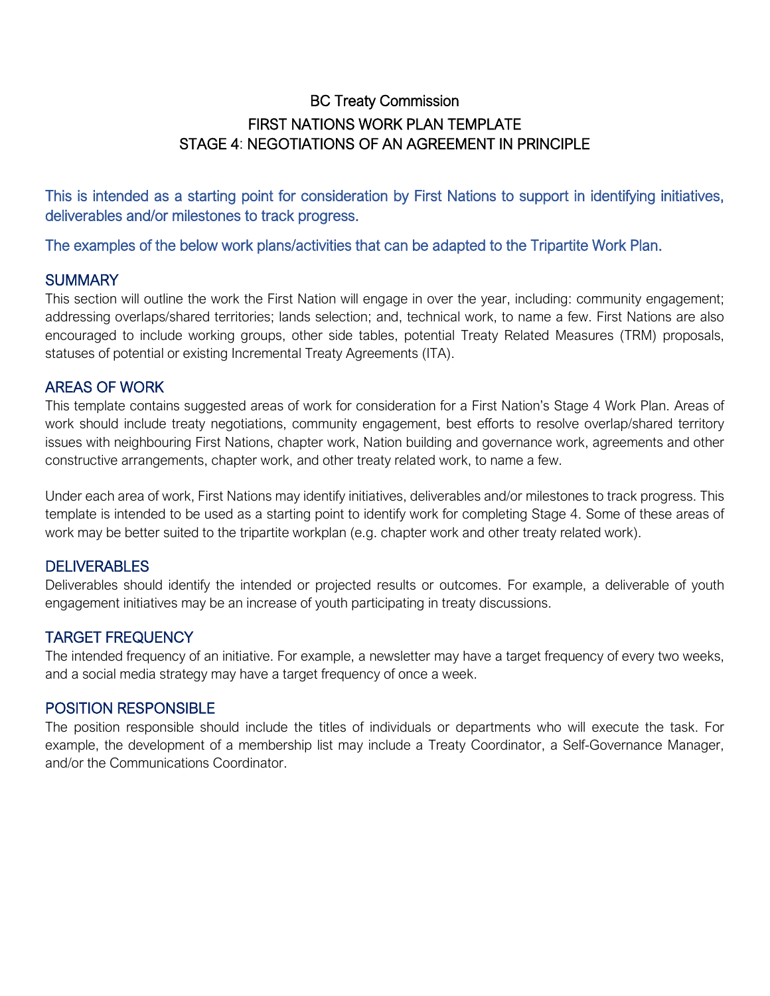## BC Treaty Commission FIRST NATIONS WORK PLAN TEMPLATE STAGE 4: NEGOTIATIONS OF AN AGREEMENT IN PRINCIPLE

This is intended as a starting point for consideration by First Nations to support in identifying initiatives, deliverables and/or milestones to track progress.

The examples of the below work plans/activities that can be adapted to the Tripartite Work Plan.

### **SUMMARY**

This section will outline the work the First Nation will engage in over the year, including: community engagement; addressing overlaps/shared territories; lands selection; and, technical work, to name a few. First Nations are also encouraged to include working groups, other side tables, potential Treaty Related Measures (TRM) proposals, statuses of potential or existing Incremental Treaty Agreements (ITA).

### AREAS OF WORK

This template contains suggested areas of work for consideration for a First Nation's Stage 4 Work Plan. Areas of work should include treaty negotiations, community engagement, best efforts to resolve overlap/shared territory issues with neighbouring First Nations, chapter work, Nation building and governance work, agreements and other constructive arrangements, chapter work, and other treaty related work, to name a few.

Under each area of work, First Nations may identify initiatives, deliverables and/or milestones to track progress. This template is intended to be used as a starting point to identify work for completing Stage 4. Some of these areas of work may be better suited to the tripartite workplan (e.g. chapter work and other treaty related work).

## **DELIVERABLES**

Deliverables should identify the intended or projected results or outcomes. For example, a deliverable of youth engagement initiatives may be an increase of youth participating in treaty discussions.

## TARGET FREQUENCY

The intended frequency of an initiative. For example, a newsletter may have a target frequency of every two weeks, and a social media strategy may have a target frequency of once a week.

## POSITION RESPONSIBLE

The position responsible should include the titles of individuals or departments who will execute the task. For example, the development of a membership list may include a Treaty Coordinator, a Self-Governance Manager, and/or the Communications Coordinator.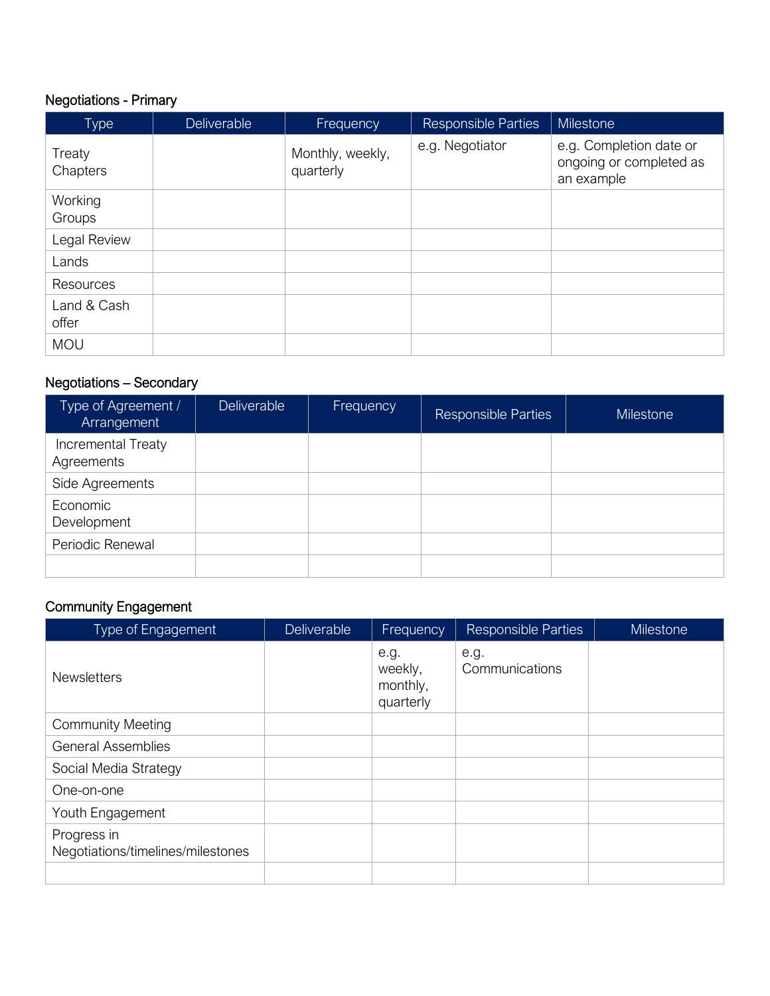#### Negotiations - Primary

| <b>Type</b>          | <b>Deliverable</b> | Frequency                     | <b>Responsible Parties</b> | Milestone                                                        |
|----------------------|--------------------|-------------------------------|----------------------------|------------------------------------------------------------------|
| Treaty<br>Chapters   |                    | Monthly, weekly,<br>quarterly | e.g. Negotiator            | e.g. Completion date or<br>ongoing or completed as<br>an example |
| Working<br>Groups    |                    |                               |                            |                                                                  |
| Legal Review         |                    |                               |                            |                                                                  |
| Lands                |                    |                               |                            |                                                                  |
| Resources            |                    |                               |                            |                                                                  |
| Land & Cash<br>offer |                    |                               |                            |                                                                  |
| <b>MOU</b>           |                    |                               |                            |                                                                  |

# Negotiations – Secondary

| Type of Agreement /<br>Arrangement | Deliverable | Frequency | <b>Responsible Parties</b> | <b>Milestone</b> |
|------------------------------------|-------------|-----------|----------------------------|------------------|
| Incremental Treaty<br>Agreements   |             |           |                            |                  |
| Side Agreements                    |             |           |                            |                  |
| Economic<br>Development            |             |           |                            |                  |
| Periodic Renewal                   |             |           |                            |                  |
|                                    |             |           |                            |                  |

# Community Engagement

| Type of Engagement                               | Deliverable | Frequency                                | <b>Responsible Parties</b> | <b>Milestone</b> |
|--------------------------------------------------|-------------|------------------------------------------|----------------------------|------------------|
| <b>Newsletters</b>                               |             | e.g.<br>weekly,<br>monthly,<br>quarterly | e.g.<br>Communications     |                  |
| <b>Community Meeting</b>                         |             |                                          |                            |                  |
| <b>General Assemblies</b>                        |             |                                          |                            |                  |
| Social Media Strategy                            |             |                                          |                            |                  |
| One-on-one                                       |             |                                          |                            |                  |
| Youth Engagement                                 |             |                                          |                            |                  |
| Progress in<br>Negotiations/timelines/milestones |             |                                          |                            |                  |
|                                                  |             |                                          |                            |                  |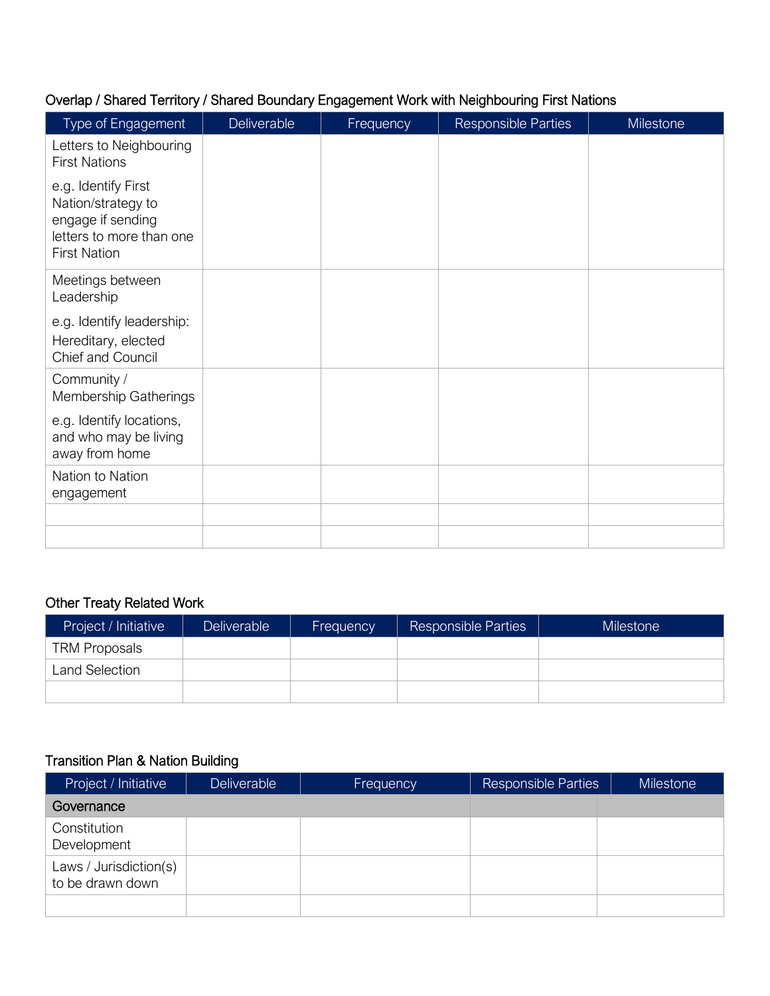#### Overlap / Shared Territory / Shared Boundary Engagement Work with Neighbouring First Nations

| Type of Engagement                                                                                                | Deliverable | Frequency | <b>Responsible Parties</b> | Milestone |
|-------------------------------------------------------------------------------------------------------------------|-------------|-----------|----------------------------|-----------|
| Letters to Neighbouring<br><b>First Nations</b>                                                                   |             |           |                            |           |
| e.g. Identify First<br>Nation/strategy to<br>engage if sending<br>letters to more than one<br><b>First Nation</b> |             |           |                            |           |
| Meetings between<br>Leadership                                                                                    |             |           |                            |           |
| e.g. Identify leadership:<br>Hereditary, elected<br>Chief and Council                                             |             |           |                            |           |
| Community /<br>Membership Gatherings                                                                              |             |           |                            |           |
| e.g. Identify locations,<br>and who may be living<br>away from home                                               |             |           |                            |           |
| Nation to Nation<br>engagement                                                                                    |             |           |                            |           |
|                                                                                                                   |             |           |                            |           |
|                                                                                                                   |             |           |                            |           |

## Other Treaty Related Work

| Project / Initiative | <b>Deliverable</b> | Frequency | <b>Responsible Parties</b> | <b>Milestone</b> |
|----------------------|--------------------|-----------|----------------------------|------------------|
| TRM Proposals        |                    |           |                            |                  |
| Land Selection       |                    |           |                            |                  |
|                      |                    |           |                            |                  |

## Transition Plan & Nation Building

| Project / Initiative                       | <b>Deliverable</b> | Frequency | <b>Responsible Parties</b> | <b>Milestone</b> |
|--------------------------------------------|--------------------|-----------|----------------------------|------------------|
| Governance                                 |                    |           |                            |                  |
| Constitution<br>Development                |                    |           |                            |                  |
| Laws / Jurisdiction(s)<br>to be drawn down |                    |           |                            |                  |
|                                            |                    |           |                            |                  |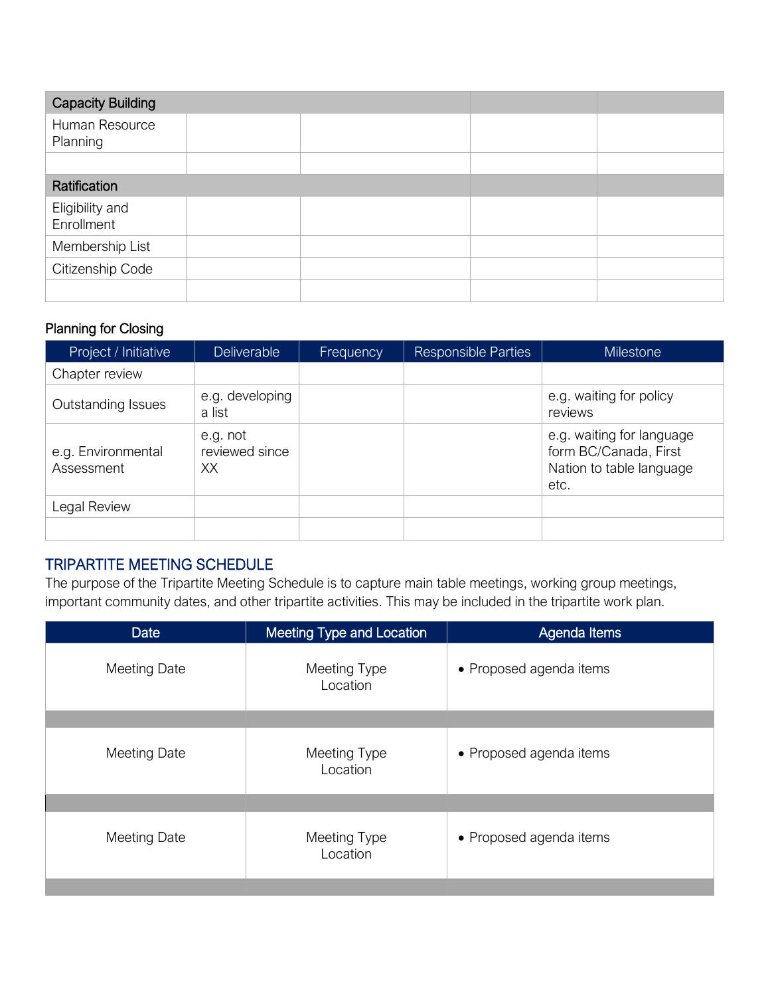| <b>Capacity Building</b>      |  |  |  |
|-------------------------------|--|--|--|
| Human Resource<br>Planning    |  |  |  |
|                               |  |  |  |
| Ratification                  |  |  |  |
| Eligibility and<br>Enrollment |  |  |  |
| Membership List               |  |  |  |
| Citizenship Code              |  |  |  |
|                               |  |  |  |

## Planning for Closing

| Project / Initiative             | <b>Deliverable</b>               | Frequency | <b>Responsible Parties</b> | <b>Milestone</b>                                                                       |
|----------------------------------|----------------------------------|-----------|----------------------------|----------------------------------------------------------------------------------------|
| Chapter review                   |                                  |           |                            |                                                                                        |
| Outstanding Issues               | e.g. developing<br>a list        |           |                            | e.g. waiting for policy<br>reviews                                                     |
| e.g. Environmental<br>Assessment | e.g. not<br>reviewed since<br>XX |           |                            | e.g. waiting for language<br>form BC/Canada, First<br>Nation to table language<br>etc. |
| Legal Review                     |                                  |           |                            |                                                                                        |
|                                  |                                  |           |                            |                                                                                        |

## TRIPARTITE MEETING SCHEDULE

The purpose of the Tripartite Meeting Schedule is to capture main table meetings, working group meetings, important community dates, and other tripartite activities. This may be included in the tripartite work plan.

| <b>Date</b>         | Meeting Type and Location | Agenda Items            |
|---------------------|---------------------------|-------------------------|
| <b>Meeting Date</b> | Meeting Type<br>Location  | • Proposed agenda items |
|                     |                           |                         |
| <b>Meeting Date</b> | Meeting Type<br>Location  | • Proposed agenda items |
|                     |                           |                         |
| <b>Meeting Date</b> | Meeting Type<br>Location  | • Proposed agenda items |
|                     |                           |                         |